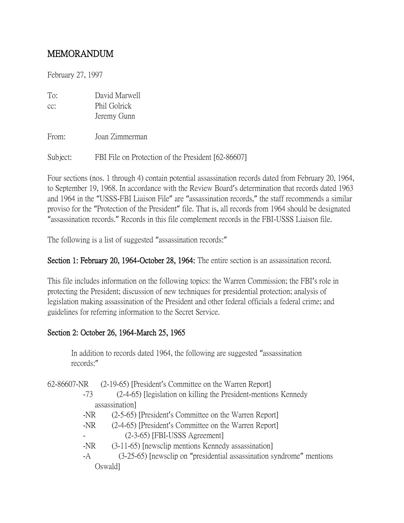# MEMORANDUM

February 27, 1997

| To: | David Marwell |
|-----|---------------|
| cc: | Phil Golrick  |
|     | Jeremy Gunn   |

From: Joan Zimmerman

Subject: FBI File on Protection of the President [62-86607]

Four sections (nos. 1 through 4) contain potential assassination records dated from February 20, 1964, to September 19, 1968. In accordance with the Review Board's determination that records dated 1963 and 1964 in the "USSS-FBI Liaison File" are "assassination records," the staff recommends a similar proviso for the "Protection of the President" file. That is, all records from 1964 should be designated "assassination records." Records in this file complement records in the FBI-USSS Liaison file.

The following is a list of suggested "assassination records:"

#### Section 1: February 20, 1964-October 28, 1964: The entire section is an assassination record.

This file includes information on the following topics: the Warren Commission; the FBI's role in protecting the President; discussion of new techniques for presidential protection; analysis of legislation making assassination of the President and other federal officials a federal crime; and guidelines for referring information to the Secret Service.

### Section 2: October 26, 1964-March 25, 1965

In addition to records dated 1964, the following are suggested "assassination records:"

62-86607-NR (2-19-65) [President's Committee on the Warren Report]

- -73 (2-4-65) [legislation on killing the President-mentions Kennedy assassination]
- -NR (2-5-65) [President's Committee on the Warren Report]
- -NR (2-4-65) [President's Committee on the Warren Report] - (2-3-65) [FBI-USSS Agreement]
- -NR (3-11-65) [newsclip mentions Kennedy assassination]
- -A (3-25-65) [newsclip on "presidential assassination syndrome" mentions Oswald]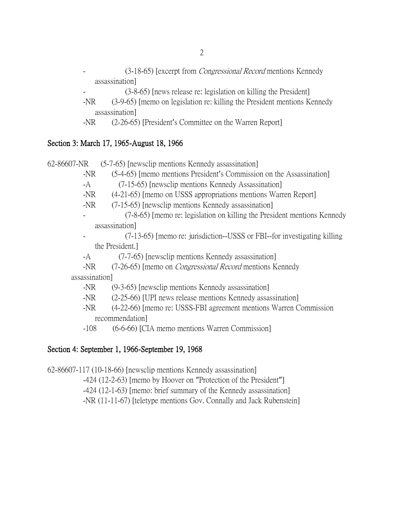- (3-18-65) [excerpt from *Congressional Record* mentions Kennedy assassination]
	- (3-8-65) [news release re: legislation on killing the President]
- -NR (3-9-65) [memo on legislation re: killing the President mentions Kennedy assassination]
- -NR (2-26-65) [President's Committee on the Warren Report]

## Section 3: March 17, 1965-August 18, 1966

62-86607-NR (5-7-65) [newsclip mentions Kennedy assassination]

- -NR (5-4-65) [memo mentions President's Commission on the Assassination]
- -A (7-15-65) [newsclip mentions Kennedy Assassination]
- -NR (4-21-65) [memo on USSS appropriations mentions Warren Report]
- -NR (7-15-65) [newsclip mentions Kennedy assassination]
- (7-8-65) [memo re: legislation on killing the President mentions Kennedy assassination]
- (7-13-65) [memo re: jurisdiction--USSS or FBI--for investigating killing the President.]
- -A (7-7-65) [newsclip mentions Kennedy assassination]
- -NR (7-26-65) [memo on *Congressional Record* mentions Kennedy assassination]
	- -NR (9-3-65) [newsclip mentions Kennedy assassination]
	- -NR (2-25-66) [UPI news release mentions Kennedy assassination]
	- -NR (4-22-66) [memo re: USSS-FBI agreement mentions Warren Commission recommendation]
	- -108 (6-6-66) [CIA memo mentions Warren Commission]

### Section 4: September 1, 1966-September 19, 1968

62-86607-117 (10-18-66) [newsclip mentions Kennedy assassination] -424 (12-2-63) [memo by Hoover on "Protection of the President"] -424 (12-1-63) [memo: brief summary of the Kennedy assassination]

-NR (11-11-67) [teletype mentions Gov. Connally and Jack Rubenstein]